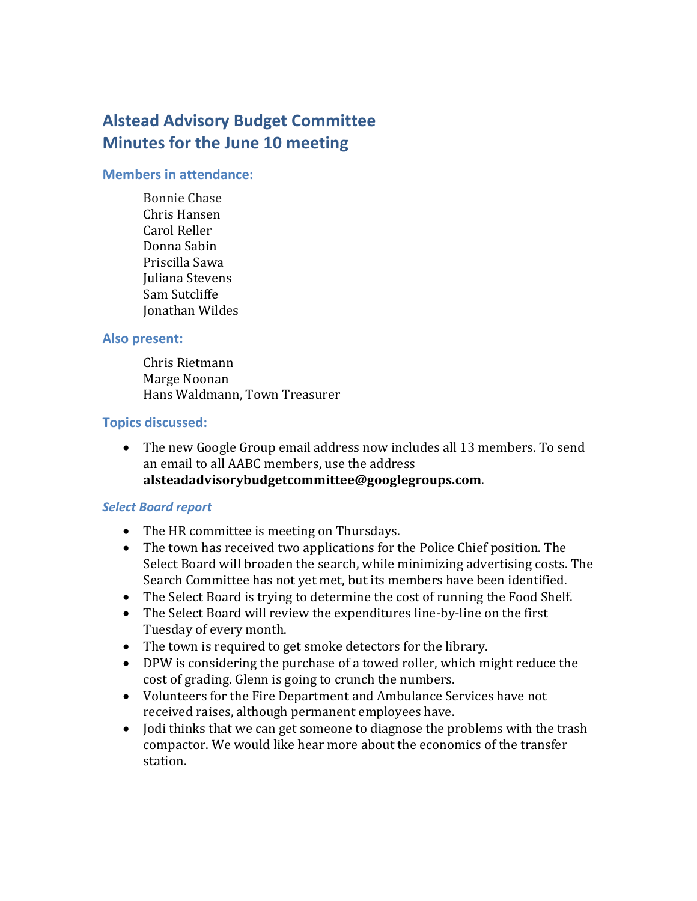# **Alstead Advisory Budget Committee Minutes for the June 10 meeting**

#### **Members in attendance:**

Bonnie Chase Chris Hansen Carol Reller Donna Sabin Priscilla Sawa Juliana Stevens Sam Sutcliffe Jonathan Wildes

## **Also present:**

Chris Rietmann Marge Noonan Hans Waldmann, Town Treasurer

#### **Topics discussed:**

 The new Google Group email address now includes all 13 members. To send an email to all AABC members, use the address **alsteadadvisorybudgetcommittee@googlegroups.com**.

#### *Select Board report*

- The HR committee is meeting on Thursdays.
- The town has received two applications for the Police Chief position. The Select Board will broaden the search, while minimizing advertising costs. The Search Committee has not yet met, but its members have been identified.
- The Select Board is trying to determine the cost of running the Food Shelf.
- The Select Board will review the expenditures line-by-line on the first Tuesday of every month.
- The town is required to get smoke detectors for the library.
- DPW is considering the purchase of a towed roller, which might reduce the cost of grading. Glenn is going to crunch the numbers.
- Volunteers for the Fire Department and Ambulance Services have not received raises, although permanent employees have.
- Jodi thinks that we can get someone to diagnose the problems with the trash compactor. We would like hear more about the economics of the transfer station.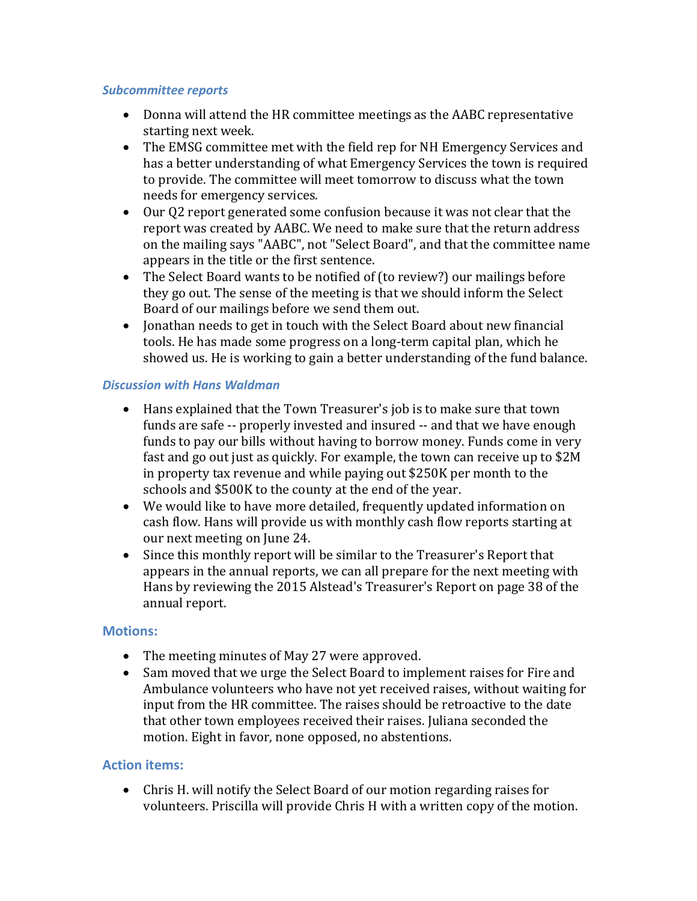#### *Subcommittee reports*

- Donna will attend the HR committee meetings as the AABC representative starting next week.
- The EMSG committee met with the field rep for NH Emergency Services and has a better understanding of what Emergency Services the town is required to provide. The committee will meet tomorrow to discuss what the town needs for emergency services.
- Our Q2 report generated some confusion because it was not clear that the report was created by AABC. We need to make sure that the return address on the mailing says "AABC", not "Select Board", and that the committee name appears in the title or the first sentence.
- The Select Board wants to be notified of (to review?) our mailings before they go out. The sense of the meeting is that we should inform the Select Board of our mailings before we send them out.
- Jonathan needs to get in touch with the Select Board about new financial tools. He has made some progress on a long-term capital plan, which he showed us. He is working to gain a better understanding of the fund balance.

#### *Discussion with Hans Waldman*

- Hans explained that the Town Treasurer's job is to make sure that town funds are safe -- properly invested and insured -- and that we have enough funds to pay our bills without having to borrow money. Funds come in very fast and go out just as quickly. For example, the town can receive up to \$2M in property tax revenue and while paying out \$250K per month to the schools and \$500K to the county at the end of the year.
- We would like to have more detailed, frequently updated information on cash flow. Hans will provide us with monthly cash flow reports starting at our next meeting on June 24.
- Since this monthly report will be similar to the Treasurer's Report that appears in the annual reports, we can all prepare for the next meeting with Hans by reviewing the 2015 Alstead's Treasurer's Report on page 38 of the annual report.

## **Motions:**

- The meeting minutes of May 27 were approved.
- Sam moved that we urge the Select Board to implement raises for Fire and Ambulance volunteers who have not yet received raises, without waiting for input from the HR committee. The raises should be retroactive to the date that other town employees received their raises. Juliana seconded the motion. Eight in favor, none opposed, no abstentions.

## **Action items:**

 Chris H. will notify the Select Board of our motion regarding raises for volunteers. Priscilla will provide Chris H with a written copy of the motion.